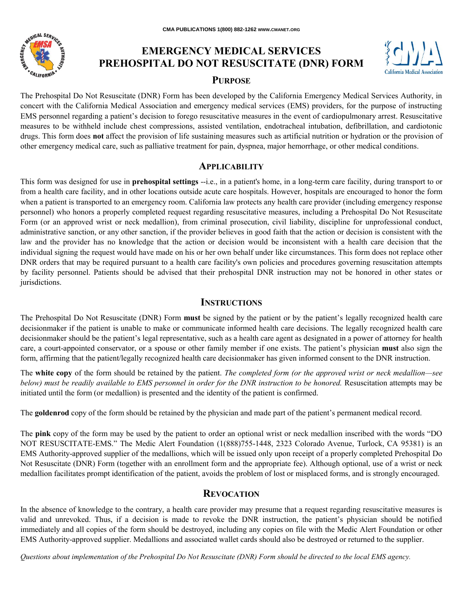

# **EMERGENCY MEDICAL SERVICES PREHOSPITAL DO NOT RESUSCITATE (DNR) FORM PURPOSE**



The Prehospital Do Not Resuscitate (DNR) Form has been developed by the California Emergency Medical Services Authority, in concert with the California Medical Association and emergency medical services (EMS) providers, for the purpose of instructing EMS personnel regarding a patient's decision to forego resuscitative measures in the event of cardiopulmonary arrest. Resuscitative measures to be withheld include chest compressions, assisted ventilation, endotracheal intubation, defibrillation, and cardiotonic drugs. This form does **not** affect the provision of life sustaining measures such as artificial nutrition or hydration or the provision of other emergency medical care, such as palliative treatment for pain, dyspnea, major hemorrhage, or other medical conditions.

## **APPLICABILITY**

This form was designed for use in **prehospital settings** --i.e., in a patient's home, in a long-term care facility, during transport to or from a health care facility, and in other locations outside acute care hospitals. However, hospitals are encouraged to honor the form when a patient is transported to an emergency room. California law protects any health care provider (including emergency response personnel) who honors a properly completed request regarding resuscitative measures, including a Prehospital Do Not Resuscitate Form (or an approved wrist or neck medallion), from criminal prosecution, civil liability, discipline for unprofessional conduct, administrative sanction, or any other sanction, if the provider believes in good faith that the action or decision is consistent with the law and the provider has no knowledge that the action or decision would be inconsistent with a health care decision that the individual signing the request would have made on his or her own behalf under like circumstances. This form does not replace other DNR orders that may be required pursuant to a health care facility's own policies and procedures governing resuscitation attempts by facility personnel. Patients should be advised that their prehospital DNR instruction may not be honored in other states or jurisdictions.

### **INSTRUCTIONS**

The Prehospital Do Not Resuscitate (DNR) Form **must** be signed by the patient or by the patient's legally recognized health care decisionmaker if the patient is unable to make or communicate informed health care decisions. The legally recognized health care decisionmaker should be the patient's legal representative, such as a health care agent as designated in a power of attorney for health care, a court-appointed conservator, or a spouse or other family member if one exists. The patient's physician **must** also sign the form, affirming that the patient/legally recognized health care decisionmaker has given informed consent to the DNR instruction.

The **white copy** of the form should be retained by the patient. *The completed form (or the approved wrist or neck medallion—see below) must be readily available to EMS personnel in order for the DNR instruction to be honored.* Resuscitation attempts may be initiated until the form (or medallion) is presented and the identity of the patient is confirmed.

The **goldenrod** copy of the form should be retained by the physician and made part of the patient's permanent medical record.

The **pink** copy of the form may be used by the patient to order an optional wrist or neck medallion inscribed with the words "DO NOT RESUSCITATE-EMS." The Medic Alert Foundation (1(888)755-1448, 2323 Colorado Avenue, Turlock, CA 95381) is an EMS Authority-approved supplier of the medallions, which will be issued only upon receipt of a properly completed Prehospital Do Not Resuscitate (DNR) Form (together with an enrollment form and the appropriate fee). Although optional, use of a wrist or neck medallion facilitates prompt identification of the patient, avoids the problem of lost or misplaced forms, and is strongly encouraged.

#### **REVOCATION**

In the absence of knowledge to the contrary, a health care provider may presume that a request regarding resuscitative measures is valid and unrevoked. Thus, if a decision is made to revoke the DNR instruction, the patient's physician should be notified immediately and all copies of the form should be destroyed, including any copies on file with the Medic Alert Foundation or other EMS Authority-approved supplier. Medallions and associated wallet cards should also be destroyed or returned to the supplier.

*Questions about implementation of the Prehospital Do Not Resuscitate (DNR) Form should be directed to the local EMS agency.*